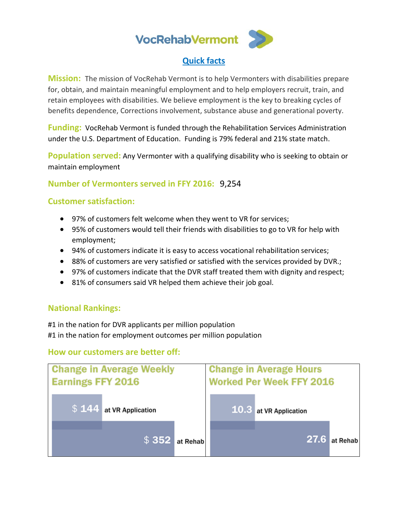

### **Quick facts**

**Mission:** The mission of VocRehab Vermont is to help Vermonters with disabilities prepare for, obtain, and maintain meaningful employment and to help employers recruit, train, and retain employees with disabilities. We believe employment is the key to breaking cycles of benefits dependence, Corrections involvement, substance abuse and generational poverty.

**Funding:** VocRehab Vermont is funded through the Rehabilitation Services Administration under the U.S. Department of Education. Funding is 79% federal and 21% state match.

**Population served:** Any Vermonter with a qualifying disability who is seeking to obtain or maintain employment

**Number of Vermonters served in FFY 2016:** 9,254

#### **Customer satisfaction:**

- 97% of customers felt welcome when they went to VR for services;
- 95% of customers would tell their friends with disabilities to go to VR for help with employment;
- 94% of customers indicate it is easy to access vocational rehabilitation services;
- 88% of customers are very satisfied or satisfied with the services provided by DVR.;
- 97% of customers indicate that the DVR staff treated them with dignity and respect;
- 81% of consumers said VR helped them achieve their job goal.

### **National Rankings:**

#1 in the nation for DVR applicants per million population #1 in the nation for employment outcomes per million population

### **How our customers are better off:**

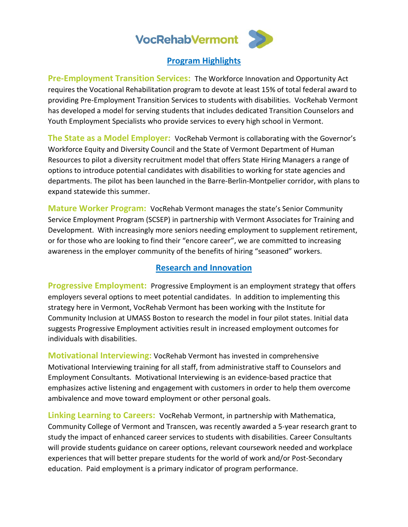

#### **Program Highlights**

**Pre-Employment Transition Services:** The Workforce Innovation and Opportunity Act requires the Vocational Rehabilitation program to devote at least 15% of total federal award to providing Pre-Employment Transition Services to students with disabilities. VocRehab Vermont has developed a model for serving students that includes dedicated Transition Counselors and Youth Employment Specialists who provide services to every high school in Vermont.

**The State as a Model Employer:** VocRehab Vermont is collaborating with the Governor's Workforce Equity and Diversity Council and the State of Vermont Department of Human Resources to pilot a diversity recruitment model that offers State Hiring Managers a range of options to introduce potential candidates with disabilities to working for state agencies and departments. The pilot has been launched in the Barre-Berlin-Montpelier corridor, with plans to expand statewide this summer.

**Mature Worker Program:** VocRehab Vermont manages the state's Senior Community Service Employment Program (SCSEP) in partnership with Vermont Associates for Training and Development. With increasingly more seniors needing employment to supplement retirement, or for those who are looking to find their "encore career", we are committed to increasing awareness in the employer community of the benefits of hiring "seasoned" workers.

### **Research and Innovation**

**Progressive Employment:** Progressive Employment is an employment strategy that offers employers several options to meet potential candidates. In addition to implementing this strategy here in Vermont, VocRehab Vermont has been working with the Institute for Community Inclusion at UMASS Boston to research the model in four pilot states. Initial data suggests Progressive Employment activities result in increased employment outcomes for individuals with disabilities.

**Motivational Interviewing:** VocRehab Vermont has invested in comprehensive Motivational Interviewing training for all staff, from administrative staff to Counselors and Employment Consultants. Motivational Interviewing is an evidence-based practice that emphasizes active listening and engagement with customers in order to help them overcome ambivalence and move toward employment or other personal goals.

**Linking Learning to Careers:** VocRehab Vermont, in partnership with Mathematica, Community College of Vermont and Transcen, was recently awarded a 5-year research grant to study the impact of enhanced career services to students with disabilities. Career Consultants will provide students guidance on career options, relevant coursework needed and workplace experiences that will better prepare students for the world of work and/or Post-Secondary education. Paid employment is a primary indicator of program performance.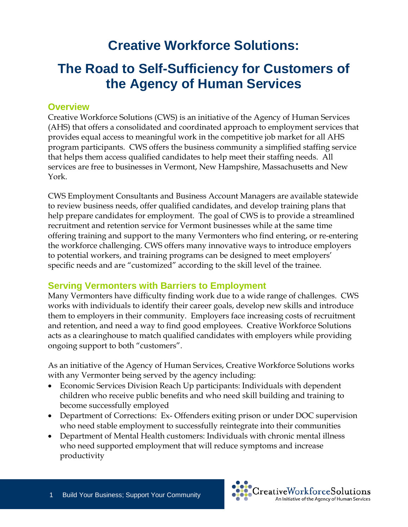# **Creative Workforce Solutions:**

# **The Road to Self-Sufficiency for Customers of the Agency of Human Services**

### **Overview**

Creative Workforce Solutions (CWS) is an initiative of the Agency of Human Services (AHS) that offers a consolidated and coordinated approach to employment services that provides equal access to meaningful work in the competitive job market for all AHS program participants. CWS offers the business community a simplified staffing service that helps them access qualified candidates to help meet their staffing needs. All services are free to businesses in Vermont, New Hampshire, Massachusetts and New York.

CWS Employment Consultants and Business Account Managers are available statewide to review business needs, offer qualified candidates, and develop training plans that help prepare candidates for employment. The goal of CWS is to provide a streamlined recruitment and retention service for Vermont businesses while at the same time offering training and support to the many Vermonters who find entering, or re-entering the workforce challenging. CWS offers many innovative ways to introduce employers to potential workers, and training programs can be designed to meet employers' specific needs and are "customized" according to the skill level of the trainee.

## **Serving Vermonters with Barriers to Employment**

Many Vermonters have difficulty finding work due to a wide range of challenges. CWS works with individuals to identify their career goals, develop new skills and introduce them to employers in their community. Employers face increasing costs of recruitment and retention, and need a way to find good employees. Creative Workforce Solutions acts as a clearinghouse to match qualified candidates with employers while providing ongoing support to both "customers".

As an initiative of the Agency of Human Services, Creative Workforce Solutions works with any Vermonter being served by the agency including:

- Economic Services Division Reach Up participants: Individuals with dependent children who receive public benefits and who need skill building and training to become successfully employed
- Department of Corrections: Ex- Offenders exiting prison or under DOC supervision who need stable employment to successfully reintegrate into their communities
- Department of Mental Health customers: Individuals with chronic mental illness who need supported employment that will reduce symptoms and increase productivity